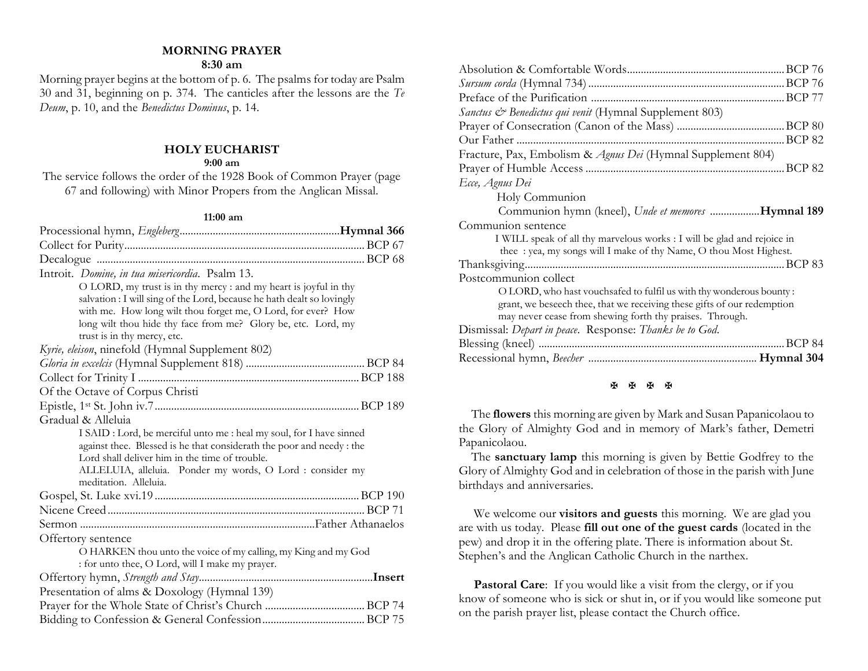# **MORNING PRAYER**

#### **8:30 am**

Morning prayer begins at the bottom of p. 6. The psalms for today are Psalm 30 and 31, beginning on p. 374. The canticles after the lessons are the *Te Deum*, p. 10, and the *Benedictus Dominus*, p. 14.

### **HOLY EUCHARIST**

#### **9:00 am**

The service follows the order of the 1928 Book of Common Prayer (page 67 and following) with Minor Propers from the Anglican Missal.

#### **11:00 am**

| Introit. Domine, in tua misericordia. Psalm 13.                        |  |
|------------------------------------------------------------------------|--|
| O LORD, my trust is in thy mercy : and my heart is joyful in thy       |  |
| salvation : I will sing of the Lord, because he hath dealt so lovingly |  |
| with me. How long wilt thou forget me, O Lord, for ever? How           |  |
| long wilt thou hide thy face from me? Glory be, etc. Lord, my          |  |
| trust is in thy mercy, etc.                                            |  |
| Kyrie, eleison, ninefold (Hymnal Supplement 802)                       |  |
|                                                                        |  |
|                                                                        |  |
| Of the Octave of Corpus Christi                                        |  |
|                                                                        |  |
| Gradual & Alleluia                                                     |  |
| I SAID : Lord, be merciful unto me : heal my soul, for I have sinned   |  |
| against thee. Blessed is he that considerath the poor and needy : the  |  |
| Lord shall deliver him in the time of trouble.                         |  |
| ALLELUIA, alleluia. Ponder my words, O Lord : consider my              |  |
| meditation. Alleluia.                                                  |  |
|                                                                        |  |
|                                                                        |  |
|                                                                        |  |
| Offertory sentence                                                     |  |
| O HARKEN thou unto the voice of my calling, my King and my God         |  |
| : for unto thee, O Lord, will I make my prayer.                        |  |
|                                                                        |  |
| Presentation of alms & Doxology (Hymnal 139)                           |  |
|                                                                        |  |
|                                                                        |  |

| <i>Sanctus &amp; Benedictus qui venit</i> (Hymnal Supplement 803)                                                                                                                                          |        |
|------------------------------------------------------------------------------------------------------------------------------------------------------------------------------------------------------------|--------|
|                                                                                                                                                                                                            |        |
|                                                                                                                                                                                                            |        |
| Fracture, Pax, Embolism & Agnus Dei (Hymnal Supplement 804)                                                                                                                                                |        |
|                                                                                                                                                                                                            |        |
| Ecce, Agnus Dei                                                                                                                                                                                            |        |
| Holy Communion                                                                                                                                                                                             |        |
| Communion hymn (kneel), Unde et memores Hymnal 189                                                                                                                                                         |        |
| Communion sentence                                                                                                                                                                                         |        |
| I WILL speak of all thy marvelous works : I will be glad and rejoice in<br>thee : yea, my songs will I make of thy Name, O thou Most Highest.                                                              |        |
|                                                                                                                                                                                                            |        |
| Postcommunion collect                                                                                                                                                                                      |        |
| O LORD, who hast vouchsafed to fulfil us with thy wonderous bounty:<br>grant, we beseech thee, that we receiving these gifts of our redemption<br>may never cease from shewing forth thy praises. Through. |        |
| Dismissal: Depart in peace. Response: Thanks be to God.                                                                                                                                                    |        |
|                                                                                                                                                                                                            | BCP 84 |
|                                                                                                                                                                                                            |        |
|                                                                                                                                                                                                            |        |

#### **K K K K**

 The **flowers** this morning are given by Mark and Susan Papanicolaou to the Glory of Almighty God and in memory of Mark's father, Demetri Papanicolaou.

 The **sanctuary lamp** this morning is given by Bettie Godfrey to the Glory of Almighty God and in celebration of those in the parish with June birthdays and anniversaries.

We welcome our **visitors and guests** this morning. We are glad you are with us today. Please **fill out one of the guest cards** (located in the pew) and drop it in the offering plate. There is information about St. Stephen's and the Anglican Catholic Church in the narthex.

Pastoral Care: If you would like a visit from the clergy, or if you know of someone who is sick or shut in, or if you would like someone put on the parish prayer list, please contact the Church office.